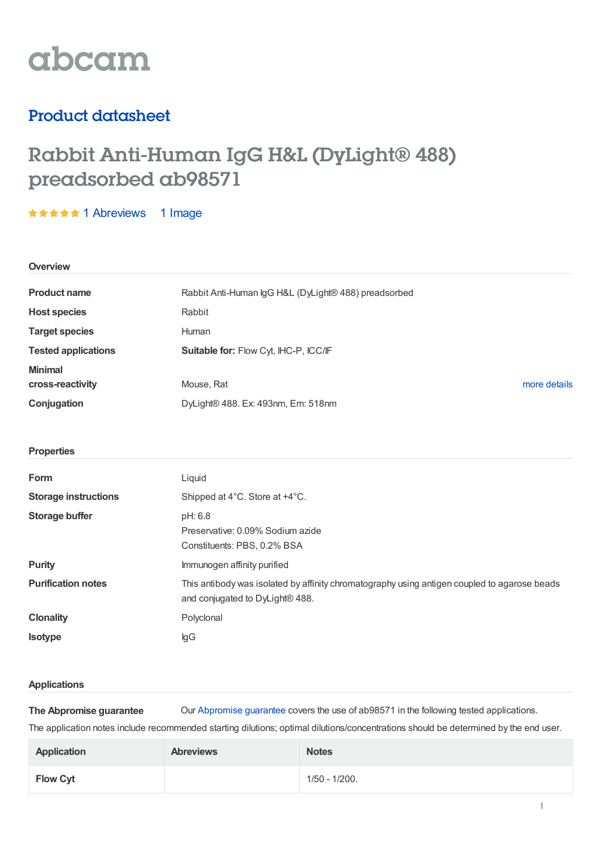

# Product datasheet

# Rabbit Anti-Human IgG H&L (DyLight® 488) preadsorbed ab98571

**★★★★★ 1 [Abreviews](https://www.abcam.com/rabbit-human-igg-hl-dylight-488-preadsorbed-ab98571.html?productWallTab=Abreviews) 1 Image** 

| Overview                           |                                                                                                                                 |  |  |
|------------------------------------|---------------------------------------------------------------------------------------------------------------------------------|--|--|
| <b>Product name</b>                | Rabbit Anti-Human IgG H&L (DyLight® 488) preadsorbed                                                                            |  |  |
| <b>Host species</b>                | Rabbit                                                                                                                          |  |  |
| <b>Target species</b>              | Human                                                                                                                           |  |  |
| <b>Tested applications</b>         | Suitable for: Flow Cyt, IHC-P, ICC/IF                                                                                           |  |  |
| <b>Minimal</b><br>cross-reactivity | Mouse, Rat<br>more details                                                                                                      |  |  |
| Conjugation                        | DyLight® 488. Ex: 493nm, Em: 518nm                                                                                              |  |  |
|                                    |                                                                                                                                 |  |  |
| <b>Properties</b>                  |                                                                                                                                 |  |  |
| Form                               | Liquid                                                                                                                          |  |  |
| <b>Storage instructions</b>        | Shipped at 4°C. Store at +4°C.                                                                                                  |  |  |
| <b>Storage buffer</b>              | pH: 6.8<br>Preservative: 0.09% Sodium azide<br>Constituents: PBS, 0.2% BSA                                                      |  |  |
| <b>Purity</b>                      | Immunogen affinity purified                                                                                                     |  |  |
| <b>Purification notes</b>          | This antibody was isolated by affinity chromatography using antigen coupled to agarose beads<br>and conjugated to DyLight® 488. |  |  |
| <b>Clonality</b>                   | Polyclonal                                                                                                                      |  |  |
| <b>Isotype</b>                     | $\lg G$                                                                                                                         |  |  |
|                                    |                                                                                                                                 |  |  |

## **Applications**

**The Abpromise guarantee** Our [Abpromise](https://www.abcam.com/abpromise) guarantee covers the use of ab98571 in the following tested applications.

The application notes include recommended starting dilutions; optimal dilutions/concentrations should be determined by the end user.

| <b>Application</b> | <b>Abreviews</b> | <b>Notes</b>  |
|--------------------|------------------|---------------|
| <b>Flow Cyt</b>    |                  | 1/50 - 1/200. |